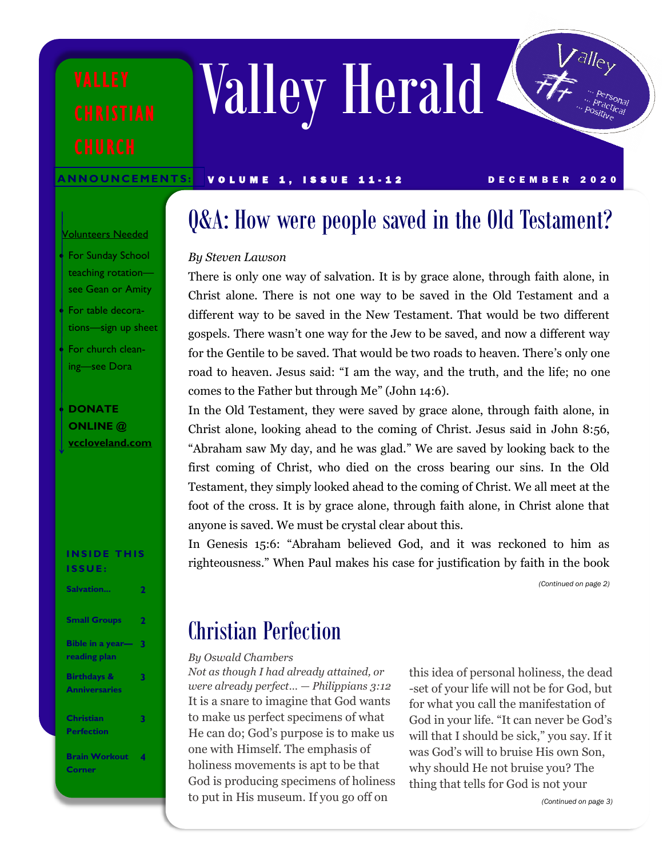Valley Herald

ANNOUNCEMENTS: VOLUME 1, ISSUE 11-12 DECEMBER 2020

#### Volunteers Needed

- For Sunday School teaching rotation see Gean or Amity
- For table decorations—sign up sheet
- For church cleaning—see Dora

### • **DONATE ONLINE @ [vccloveland.com](https://vccloveland.com)**

#### **INSIDE THIS I S S U E :**

| Salvation                                      |   |
|------------------------------------------------|---|
| <b>Small Groups</b>                            | 2 |
| Bible in a year-<br>reading plan               | 3 |
| <b>Birthdays &amp;</b><br><b>Anniversaries</b> | 3 |
| <b>Christian</b><br><b>Perfection</b>          | 3 |
| <b>Brain Workout</b><br><b>Corner</b>          |   |

## Q&A: How were people saved in the Old Testament?

#### *By Steven Lawson*

There is only one way of salvation. It is by grace alone, through faith alone, in Christ alone. There is not one way to be saved in the Old Testament and a different way to be saved in the New Testament. That would be two different gospels. There wasn't one way for the Jew to be saved, and now a different way for the Gentile to be saved. That would be two roads to heaven. There's only one road to heaven. Jesus said: "I am the way, and the truth, and the life; no one comes to the Father but through Me" (John 14:6).

In the Old Testament, they were saved by grace alone, through faith alone, in Christ alone, looking ahead to the coming of Christ. Jesus said in John 8:56, "Abraham saw My day, and he was glad." We are saved by looking back to the first coming of Christ, who died on the cross bearing our sins. In the Old Testament, they simply looked ahead to the coming of Christ. We all meet at the foot of the cross. It is by grace alone, through faith alone, in Christ alone that anyone is saved. We must be crystal clear about this.

In Genesis 15:6: "Abraham believed God, and it was reckoned to him as righteousness." When Paul makes his case for justification by faith in the book

*(Continued on page 2)*

## Christian Perfection

#### *By Oswald Chambers*

*Not as though I had already attained, or were already perfect… — Philippians 3:12* It is a snare to imagine that God wants to make us perfect specimens of what He can do; God's purpose is to make us one with Himself. The emphasis of holiness movements is apt to be that God is producing specimens of holiness to put in His museum. If you go off on

this idea of personal holiness, the dead -set of your life will not be for God, but for what you call the manifestation of God in your life. "It can never be God's will that I should be sick," you say. If it was God's will to bruise His own Son, why should He not bruise you? The thing that tells for God is not your

*(Continued on page 3)*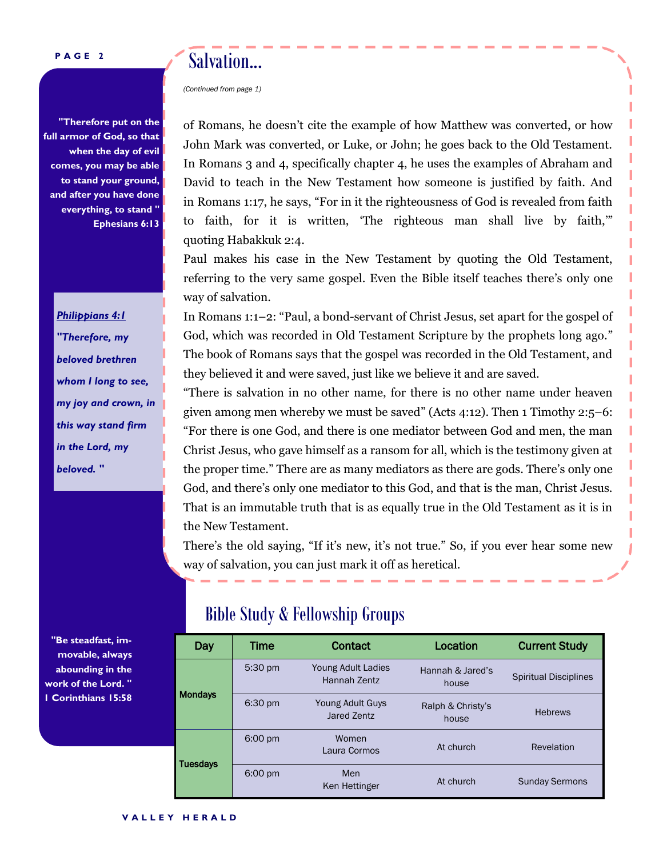#### **P A G E 2**

**"Therefore put on the full armor of God, so that when the day of evil comes, you may be able to stand your ground, and after you have done everything, to stand " Ephesians 6:13** 

> *Philippians 4:1 "Therefore, my beloved brethren whom I long to see, my joy and crown, in this way stand firm in the Lord, my beloved. "*

**"Be steadfast, immovable, always abounding in the work of the Lord. " 1 Corinthians 15:58** 

## Salvation...

*(Continued from page 1)*

of Romans, he doesn't cite the example of how Matthew was converted, or how John Mark was converted, or Luke, or John; he goes back to the Old Testament. In Romans 3 and 4, specifically chapter 4, he uses the examples of Abraham and David to teach in the New Testament how someone is justified by faith. And in Romans 1:17, he says, "For in it the righteousness of God is revealed from faith to faith, for it is written, 'The righteous man shall live by faith,'" quoting Habakkuk 2:4.

Paul makes his case in the New Testament by quoting the Old Testament, referring to the very same gospel. Even the Bible itself teaches there's only one way of salvation.

In Romans 1:1–2: "Paul, a bond-servant of Christ Jesus, set apart for the gospel of God, which was recorded in Old Testament Scripture by the prophets long ago." The book of Romans says that the gospel was recorded in the Old Testament, and they believed it and were saved, just like we believe it and are saved.

"There is salvation in no other name, for there is no other name under heaven given among men whereby we must be saved" (Acts 4:12). Then 1 Timothy  $2:5-6$ : "For there is one God, and there is one mediator between God and men, the man Christ Jesus, who gave himself as a ransom for all, which is the testimony given at the proper time." There are as many mediators as there are gods. There's only one God, and there's only one mediator to this God, and that is the man, Christ Jesus. That is an immutable truth that is as equally true in the Old Testament as it is in the New Testament.

There's the old saying, "If it's new, it's not true." So, if you ever hear some new way of salvation, you can just mark it off as heretical.

### Bible Study & Fellowship Groups

| Day             | Time              | <b>Contact</b>                     | Location                   | <b>Current Study</b>         |  |
|-----------------|-------------------|------------------------------------|----------------------------|------------------------------|--|
| <b>Mondays</b>  | 5:30 pm           | Young Adult Ladies<br>Hannah Zentz | Hannah & Jared's<br>house  | <b>Spiritual Disciplines</b> |  |
|                 | 6:30 pm           | Young Adult Guys<br>Jared Zentz    | Ralph & Christy's<br>house | <b>Hebrews</b>               |  |
| <b>Tuesdays</b> | $6:00 \text{ pm}$ | Women<br>Laura Cormos              | At church                  | Revelation                   |  |
|                 | $6:00 \text{ pm}$ | Men<br>Ken Hettinger               | At church                  | <b>Sunday Sermons</b>        |  |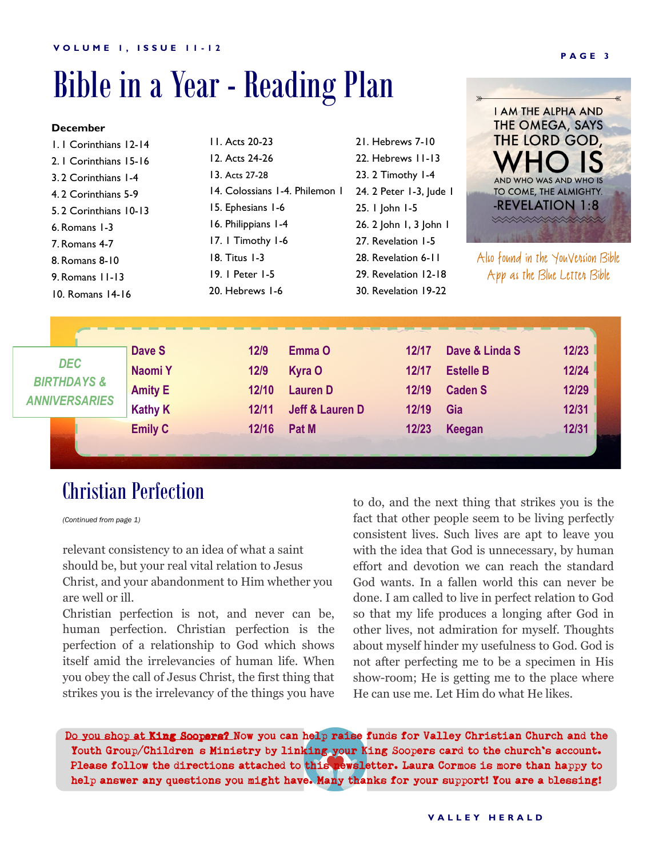## Bible in a Year - Reading Plan

| <b>December</b>                                                                |                                                       |                                                     |                                                                   |                                                      |                                                             | THE OMEGA, SAYS                           |  |
|--------------------------------------------------------------------------------|-------------------------------------------------------|-----------------------------------------------------|-------------------------------------------------------------------|------------------------------------------------------|-------------------------------------------------------------|-------------------------------------------|--|
| L. I Corinthians 12-14                                                         |                                                       | 11. Acts 20-23                                      |                                                                   | 21. Hebrews 7-10                                     |                                                             | THE LORD GOD,                             |  |
| 2.   Corinthians 15-16                                                         |                                                       | 12. Acts 24-26                                      |                                                                   | 22. Hebrews 11-13                                    |                                                             |                                           |  |
| 3.2 Corinthians 1-4                                                            |                                                       | 13. Acts 27-28                                      |                                                                   | 23. 2 Timothy 1-4                                    |                                                             | AND WHO WAS AND WHO IS                    |  |
| 4.2 Corinthians 5-9<br>5.2 Corinthians 10-13<br>6. Romans 1-3<br>7. Romans 4-7 |                                                       | 14. Colossians 1-4. Philemon 1<br>15. Ephesians 1-6 |                                                                   | 24. 2 Peter 1-3, Jude 1                              |                                                             | TO COME, THE ALMIGHTY.<br>-REVELATION 1:8 |  |
|                                                                                |                                                       |                                                     |                                                                   | 25. I John I-5                                       |                                                             |                                           |  |
|                                                                                |                                                       | 16. Philippians 1-4                                 |                                                                   | 26. 2 John 1, 3 John 1                               |                                                             | <b>XXXXXXXXXXXXXX</b>                     |  |
|                                                                                |                                                       | 17. I Timothy 1-6                                   |                                                                   | 27. Revelation 1-5                                   |                                                             |                                           |  |
| 8. Romans 8-10                                                                 |                                                       |                                                     | 18. Titus 1-3                                                     |                                                      | 28. Revelation 6-11                                         | Also found in the YouVension Bible        |  |
| 9. Romans 11-13                                                                |                                                       | 19. I Peter 1-5                                     |                                                                   | App as the Blue Letten Bible<br>29. Revelation 12-18 |                                                             |                                           |  |
| 10. Romans 14-16                                                               |                                                       | 20. Hebrews 1-6                                     |                                                                   | 30. Revelation 19-22                                 |                                                             |                                           |  |
| <b>DEC</b><br><b>BIRTHDAYS &amp;</b><br>ANNIVERSARIES                          | Dave S<br>Naomi Y<br><b>Amity E</b><br><b>Kathy K</b> | 12/9<br>12/9<br>12/10<br>12/11                      | Emma O<br>Kyra O<br><b>Lauren D</b><br><b>Jeff &amp; Lauren D</b> | 12/17<br>12/17<br>12/19<br>12/19                     | Dave & Linda S<br><b>Estelle B</b><br><b>Caden S</b><br>Gia | $12/23$<br>12/24<br>12/29<br>12/31        |  |
|                                                                                | <b>Emily C</b>                                        | 12/16                                               | Pat M                                                             | 12/23                                                | <b>Keegan</b>                                               | 12/31                                     |  |

## Christian Perfection

*(Continued from page 1)*

relevant consistency to an idea of what a saint should be, but your real vital relation to Jesus Christ, and your abandonment to Him whether you are well or ill.

Christian perfection is not, and never can be, human perfection. Christian perfection is the perfection of a relationship to God which shows itself amid the irrelevancies of human life. When you obey the call of Jesus Christ, the first thing that strikes you is the irrelevancy of the things you have

to do, and the next thing that strikes you is the fact that other people seem to be living perfectly consistent lives. Such lives are apt to leave you with the idea that God is unnecessary, by human effort and devotion we can reach the standard God wants. In a fallen world this can never be done. I am called to live in perfect relation to God so that my life produces a longing after God in other lives, not admiration for myself. Thoughts about myself hinder my usefulness to God. God is not after perfecting me to be a specimen in His show-room; He is getting me to the place where He can use me. Let Him do what He likes.

Do you shop at King Soopers? Now you can help raise funds for Valley Christian Church and the Youth Group/Children s Ministry by linking your King Soopers card to the church's account. Please follow the directions attached to this newsletter. Laura Cormos is more than happy to help answer any questions you might have. Many thanks for your support! You are a blessing!

**I AM THE ALPHA AND**